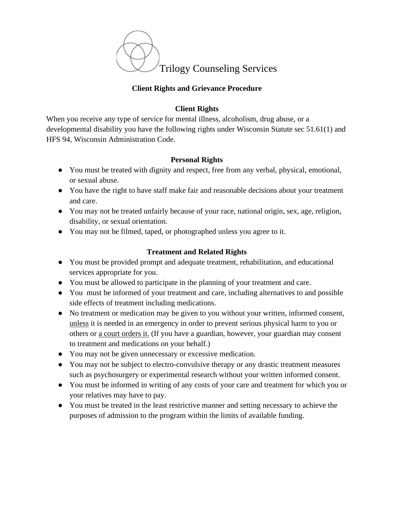

## **Client Rights and Grievance Procedure**

## **Client Rights**

When you receive any type of service for mental illness, alcoholism, drug abuse, or a developmental disability you have the following rights under Wisconsin Statute sec 51.61(1) and HFS 94, Wisconsin Administration Code.

## **Personal Rights**

- You must be treated with dignity and respect, free from any verbal, physical, emotional, or sexual abuse.
- You have the right to have staff make fair and reasonable decisions about your treatment and care.
- You may not be treated unfairly because of your race, national origin, sex, age, religion, disability, or sexual orientation.
- You may not be filmed, taped, or photographed unless you agree to it.

# **Treatment and Related Rights**

- You must be provided prompt and adequate treatment, rehabilitation, and educational services appropriate for you.
- You must be allowed to participate in the planning of your treatment and care.
- You must be informed of your treatment and care, including alternatives to and possible side effects of treatment including medications.
- No treatment or medication may be given to you without your written, informed consent, unless it is needed in an emergency in order to prevent serious physical harm to you or others or a court orders it. (If you have a guardian, however, your guardian may consent to treatment and medications on your behalf.)
- You may not be given unnecessary or excessive medication.
- You may not be subject to electro-convulsive therapy or any drastic treatment measures such as psychosurgery or experimental research without your written informed consent.
- You must be informed in writing of any costs of your care and treatment for which you or your relatives may have to pay.
- You must be treated in the least restrictive manner and setting necessary to achieve the purposes of admission to the program within the limits of available funding.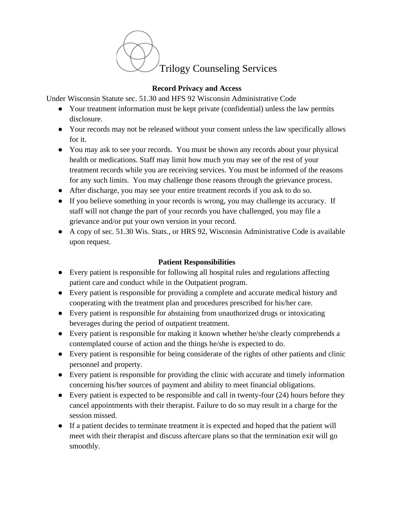

#### **Record Privacy and Access**

Under Wisconsin Statute sec. 51.30 and HFS 92 Wisconsin Administrative Code

- Your treatment information must be kept private (confidential) unless the law permits disclosure.
- Your records may not be released without your consent unless the law specifically allows for it.
- You may ask to see your records. You must be shown any records about your physical health or medications. Staff may limit how much you may see of the rest of your treatment records while you are receiving services. You must be informed of the reasons for any such limits. You may challenge those reasons through the grievance process.
- After discharge, you may see your entire treatment records if you ask to do so.
- If you believe something in your records is wrong, you may challenge its accuracy. If staff will not change the part of your records you have challenged, you may file a grievance and/or put your own version in your record.
- A copy of sec. 51.30 Wis. Stats., or HRS 92, Wisconsin Administrative Code is available upon request.

## **Patient Responsibilities**

- Every patient is responsible for following all hospital rules and regulations affecting patient care and conduct while in the Outpatient program.
- Every patient is responsible for providing a complete and accurate medical history and cooperating with the treatment plan and procedures prescribed for his/her care.
- Every patient is responsible for abstaining from unauthorized drugs or intoxicating beverages during the period of outpatient treatment.
- Every patient is responsible for making it known whether he/she clearly comprehends a contemplated course of action and the things he/she is expected to do.
- Every patient is responsible for being considerate of the rights of other patients and clinic personnel and property.
- Every patient is responsible for providing the clinic with accurate and timely information concerning his/her sources of payment and ability to meet financial obligations.
- Every patient is expected to be responsible and call in twenty-four (24) hours before they cancel appointments with their therapist. Failure to do so may result in a charge for the session missed.
- If a patient decides to terminate treatment it is expected and hoped that the patient will meet with their therapist and discuss aftercare plans so that the termination exit will go smoothly.